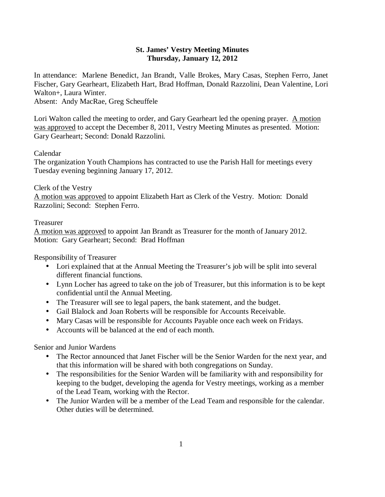# **St. James' Vestry Meeting Minutes Thursday, January 12, 2012**

In attendance: Marlene Benedict, Jan Brandt, Valle Brokes, Mary Casas, Stephen Ferro, Janet Fischer, Gary Gearheart, Elizabeth Hart, Brad Hoffman, Donald Razzolini, Dean Valentine, Lori Walton+, Laura Winter.

Absent: Andy MacRae, Greg Scheuffele

Lori Walton called the meeting to order, and Gary Gearheart led the opening prayer. A motion was approved to accept the December 8, 2011, Vestry Meeting Minutes as presented. Motion: Gary Gearheart; Second: Donald Razzolini.

# Calendar

The organization Youth Champions has contracted to use the Parish Hall for meetings every Tuesday evening beginning January 17, 2012.

# Clerk of the Vestry

A motion was approved to appoint Elizabeth Hart as Clerk of the Vestry. Motion: Donald Razzolini; Second: Stephen Ferro.

# Treasurer

A motion was approved to appoint Jan Brandt as Treasurer for the month of January 2012. Motion: Gary Gearheart; Second: Brad Hoffman

Responsibility of Treasurer

- Lori explained that at the Annual Meeting the Treasurer's job will be split into several different financial functions.
- Lynn Locher has agreed to take on the job of Treasurer, but this information is to be kept confidential until the Annual Meeting.
- The Treasurer will see to legal papers, the bank statement, and the budget.
- Gail Blalock and Joan Roberts will be responsible for Accounts Receivable.
- Mary Casas will be responsible for Accounts Payable once each week on Fridays.
- Accounts will be balanced at the end of each month.

Senior and Junior Wardens

- The Rector announced that Janet Fischer will be the Senior Warden for the next year, and that this information will be shared with both congregations on Sunday.
- The responsibilities for the Senior Warden will be familiarity with and responsibility for keeping to the budget, developing the agenda for Vestry meetings, working as a member of the Lead Team, working with the Rector.
- The Junior Warden will be a member of the Lead Team and responsible for the calendar. Other duties will be determined.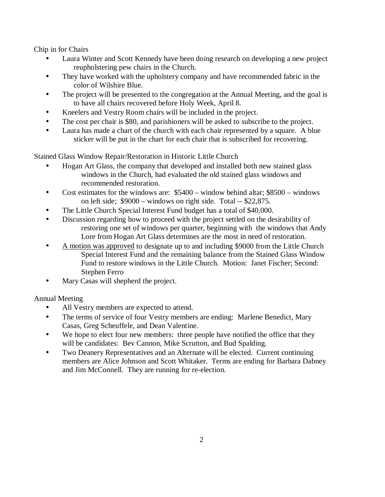Chip in for Chairs

- Laura Winter and Scott Kennedy have been doing research on developing a new project reupholstering pew chairs in the Church.
- They have worked with the upholstery company and have recommended fabric in the color of Wilshire Blue.
- The project will be presented to the congregation at the Annual Meeting, and the goal is to have all chairs recovered before Holy Week, April 8.
- Kneelers and Vestry Room chairs will be included in the project.
- The cost per chair is \$80, and parishioners will be asked to subscribe to the project.
- Laura has made a chart of the church with each chair represented by a square. A blue sticker will be put in the chart for each chair that is subscribed for recovering.

Stained Glass Window Repair/Restoration in Historic Little Church

- Hogan Art Glass, the company that developed and installed both new stained glass windows in the Church, had evaluated the old stained glass windows and recommended restoration.
- Cost estimates for the windows are:  $$5400 window behind altar; $8500 windows$ on left side; \$9000 – windows on right side. Total -- \$22,875.
- The Little Church Special Interest Fund budget has a total of \$40,000.
- Discussion regarding how to proceed with the project settled on the desirability of restoring one set of windows per quarter, beginning with the windows that Andy Lore from Hogan Art Glass determines are the most in need of restoration.
- A motion was approved to designate up to and including \$9000 from the Little Church Special Interest Fund and the remaining balance from the Stained Glass Window Fund to restore windows in the Little Church. Motion: Janet Fischer; Second: Stephen Ferro
- Mary Casas will shepherd the project.

Annual Meeting

- All Vestry members are expected to attend.
- The terms of service of four Vestry members are ending: Marlene Benedict, Mary Casas, Greg Scheuffele, and Dean Valentine.
- We hope to elect four new members: three people have notified the office that they will be candidates: Bev Cannon, Mike Scrutton, and Bud Spalding.
- Two Deanery Representatives and an Alternate will be elected. Current continuing members are Alice Johnson and Scott Whitaker. Terms are ending for Barbara Dabney and Jim McConnell. They are running for re-election.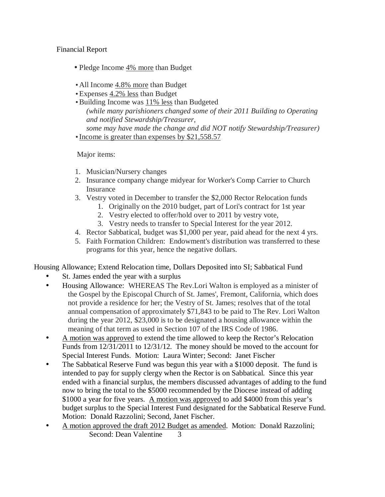# Financial Report

- Pledge Income 4% more than Budget
- All Income 4.8% more than Budget
- Expenses 4.2% less than Budget
- Building Income was 11% less than Budgeted *(while many parishioners changed some of their 2011 Building to Operating and notified Stewardship/Treasurer, some may have made the change and did NOT notify Stewardship/Treasurer)*
- Income is greater than expenses by \$21,558.57

Major items:

- 1. Musician/Nursery changes
- 2. Insurance company change midyear for Worker's Comp Carrier to Church **Insurance**
- 3. Vestry voted in December to transfer the \$2,000 Rector Relocation funds
	- 1. Originally on the 2010 budget, part of Lori's contract for 1st year
	- 2. Vestry elected to offer/hold over to 2011 by vestry vote,
	- 3. Vestry needs to transfer to Special Interest for the year 2012.
- 4. Rector Sabbatical, budget was \$1,000 per year, paid ahead for the next 4 yrs.
- 5. Faith Formation Children: Endowment's distribution was transferred to these programs for this year, hence the negative dollars.

Housing Allowance; Extend Relocation time, Dollars Deposited into SI; Sabbatical Fund

- St. James ended the year with a surplus
- Housing Allowance: WHEREAS The Rev.Lori Walton is employed as a minister of the Gospel by the Episcopal Church of St. James', Fremont, California, which does not provide a residence for her; the Vestry of St. James; resolves that of the total annual compensation of approximately \$71,843 to be paid to The Rev. Lori Walton during the year 2012, \$23,000 is to be designated a housing allowance within the meaning of that term as used in Section 107 of the IRS Code of 1986.
- A motion was approved to extend the time allowed to keep the Rector's Relocation Funds from 12/31/2011 to 12/31/12. The money should be moved to the account for Special Interest Funds. Motion: Laura Winter; Second: Janet Fischer
- The Sabbatical Reserve Fund was begun this year with a \$1000 deposit. The fund is intended to pay for supply clergy when the Rector is on Sabbatical. Since this year ended with a financial surplus, the members discussed advantages of adding to the fund now to bring the total to the \$5000 recommended by the Diocese instead of adding \$1000 a year for five years. A motion was approved to add \$4000 from this year's budget surplus to the Special Interest Fund designated for the Sabbatical Reserve Fund. Motion: Donald Razzolini; Second, Janet Fischer.
- A motion approved the draft 2012 Budget as amended. Motion: Donald Razzolini; Second: Dean Valentine 3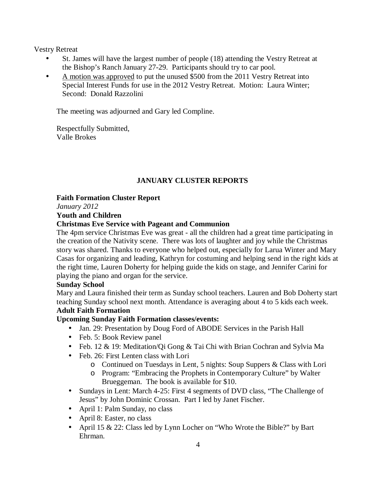Vestry Retreat

- St. James will have the largest number of people (18) attending the Vestry Retreat at the Bishop's Ranch January 27-29. Participants should try to car pool.
- A motion was approved to put the unused \$500 from the 2011 Vestry Retreat into Special Interest Funds for use in the 2012 Vestry Retreat. Motion: Laura Winter; Second: Donald Razzolini

The meeting was adjourned and Gary led Compline.

Respectfully Submitted, Valle Brokes

# **JANUARY CLUSTER REPORTS**

**Faith Formation Cluster Report** 

*January 2012* 

# **Youth and Children**

# **Christmas Eve Service with Pageant and Communion**

The 4pm service Christmas Eve was great - all the children had a great time participating in the creation of the Nativity scene. There was lots of laughter and joy while the Christmas story was shared. Thanks to everyone who helped out, especially for Larua Winter and Mary Casas for organizing and leading, Kathryn for costuming and helping send in the right kids at the right time, Lauren Doherty for helping guide the kids on stage, and Jennifer Carini for playing the piano and organ for the service.

## **Sunday School**

Mary and Laura finished their term as Sunday school teachers. Lauren and Bob Doherty start teaching Sunday school next month. Attendance is averaging about 4 to 5 kids each week.

# **Adult Faith Formation**

# **Upcoming Sunday Faith Formation classes/events:**

- Jan. 29: Presentation by Doug Ford of ABODE Services in the Parish Hall
- Feb. 5: Book Review panel
- Feb. 12 & 19: Meditation/Qi Gong & Tai Chi with Brian Cochran and Sylvia Ma
- Feb. 26: First Lenten class with Lori
	- o Continued on Tuesdays in Lent, 5 nights: Soup Suppers & Class with Lori
	- o Program: "Embracing the Prophets in Contemporary Culture" by Walter Brueggeman. The book is available for \$10.
- Sundays in Lent: March 4-25: First 4 segments of DVD class, "The Challenge of Jesus" by John Dominic Crossan. Part I led by Janet Fischer.
- April 1: Palm Sunday, no class
- April 8: Easter, no class
- April 15 & 22: Class led by Lynn Locher on "Who Wrote the Bible?" by Bart Ehrman.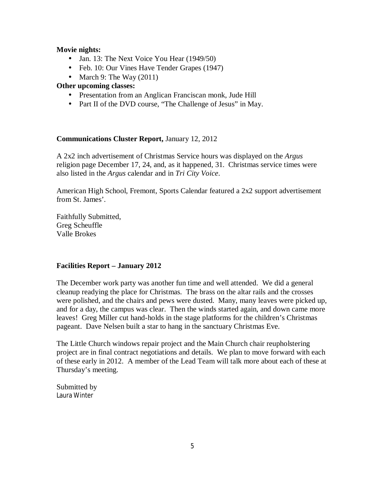#### **Movie nights:**

- Jan. 13: The Next Voice You Hear (1949/50)
- Feb. 10: Our Vines Have Tender Grapes (1947)
- March 9: The Way  $(2011)$

### **Other upcoming classes:**

- Presentation from an Anglican Franciscan monk, Jude Hill
- Part II of the DVD course, "The Challenge of Jesus" in May.

#### **Communications Cluster Report,** January 12, 2012

A 2x2 inch advertisement of Christmas Service hours was displayed on the *Argus* religion page December 17, 24, and, as it happened, 31. Christmas service times were also listed in the *Argus* calendar and in *Tri City Voice*.

American High School, Fremont, Sports Calendar featured a 2x2 support advertisement from St. James'.

Faithfully Submitted, Greg Scheuffle Valle Brokes

#### **Facilities Report – January 2012**

The December work party was another fun time and well attended. We did a general cleanup readying the place for Christmas. The brass on the altar rails and the crosses were polished, and the chairs and pews were dusted. Many, many leaves were picked up, and for a day, the campus was clear. Then the winds started again, and down came more leaves! Greg Miller cut hand-holds in the stage platforms for the children's Christmas pageant. Dave Nelsen built a star to hang in the sanctuary Christmas Eve.

The Little Church windows repair project and the Main Church chair reupholstering project are in final contract negotiations and details. We plan to move forward with each of these early in 2012. A member of the Lead Team will talk more about each of these at Thursday's meeting.

Submitted by Laura Winter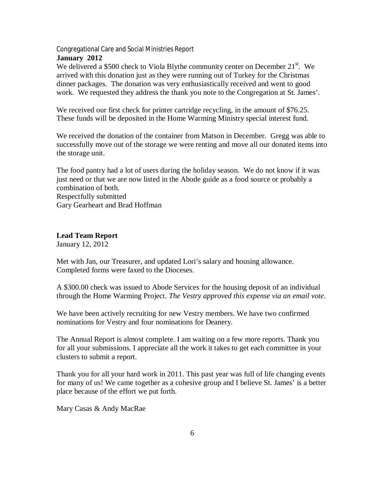Congregational Care and Social Ministries Report **January 2012** 

We delivered a \$500 check to Viola Blythe community center on December  $21^{st}$ . We arrived with this donation just as they were running out of Turkey for the Christmas dinner packages. The donation was very enthusiastically received and went to good work. We requested they address the thank you note to the Congregation at St. James'.

We received our first check for printer cartridge recycling, in the amount of \$76.25. These funds will be deposited in the Home Warming Ministry special interest fund.

We received the donation of the container from Matson in December. Gregg was able to successfully move out of the storage we were renting and move all our donated items into the storage unit.

The food pantry had a lot of users during the holiday season. We do not know if it was just need or that we are now listed in the Abode guide as a food source or probably a combination of both. Respectfully submitted

Gary Gearheart and Brad Hoffman

**Lead Team Report** 

January 12, 2012

Met with Jan, our Treasurer, and updated Lori's salary and housing allowance. Completed forms were faxed to the Dioceses.

A \$300.00 check was issued to Abode Services for the housing deposit of an individual through the Home Warming Project. *The Vestry approved this expense via an email vote*.

We have been actively recruiting for new Vestry members. We have two confirmed nominations for Vestry and four nominations for Deanery.

The Annual Report is almost complete. I am waiting on a few more reports. Thank you for all your submissions. I appreciate all the work it takes to get each committee in your clusters to submit a report.

Thank you for all your hard work in 2011. This past year was full of life changing events for many of us! We came together as a cohesive group and I believe St. James' is a better place because of the effort we put forth.

Mary Casas & Andy MacRae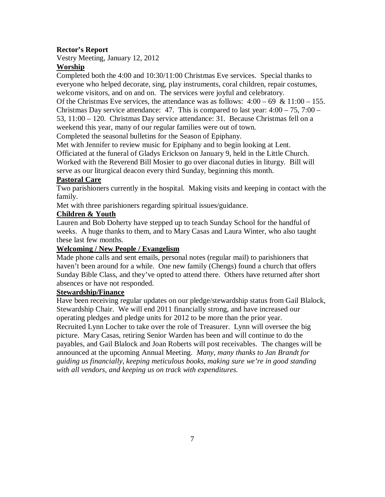# **Rector's Report**

Vestry Meeting, January 12, 2012

## **Worship**

Completed both the 4:00 and 10:30/11:00 Christmas Eve services. Special thanks to everyone who helped decorate, sing, play instruments, coral children, repair costumes, welcome visitors, and on and on. The services were joyful and celebratory.

Of the Christmas Eve services, the attendance was as follows:  $4:00 - 69 \& 11:00 - 155$ . Christmas Day service attendance: 47. This is compared to last year:  $4:00 - 75$ ,  $7:00 -$ 

53, 11:00 – 120. Christmas Day service attendance: 31. Because Christmas fell on a weekend this year, many of our regular families were out of town.

Completed the seasonal bulletins for the Season of Epiphany.

Met with Jennifer to review music for Epiphany and to begin looking at Lent. Officiated at the funeral of Gladys Erickson on January 9, held in the Little Church. Worked with the Reverend Bill Mosier to go over diaconal duties in liturgy. Bill will serve as our liturgical deacon every third Sunday, beginning this month.

## **Pastoral Care**

Two parishioners currently in the hospital. Making visits and keeping in contact with the family.

Met with three parishioners regarding spiritual issues/guidance.

# **Children & Youth**

Lauren and Bob Doherty have stepped up to teach Sunday School for the handful of weeks. A huge thanks to them, and to Mary Casas and Laura Winter, who also taught these last few months.

## **Welcoming / New People / Evangelism**

Made phone calls and sent emails, personal notes (regular mail) to parishioners that haven't been around for a while. One new family (Chengs) found a church that offers Sunday Bible Class, and they've opted to attend there. Others have returned after short absences or have not responded.

## **Stewardship/Finance**

Have been receiving regular updates on our pledge/stewardship status from Gail Blalock, Stewardship Chair. We will end 2011 financially strong, and have increased our operating pledges and pledge units for 2012 to be more than the prior year. Recruited Lynn Locher to take over the role of Treasurer. Lynn will oversee the big picture. Mary Casas, retiring Senior Warden has been and will continue to do the payables, and Gail Blalock and Joan Roberts will post receivables. The changes will be announced at the upcoming Annual Meeting. *Many, many thanks to Jan Brandt for guiding us financially, keeping meticulous books, making sure we're in good standing with all vendors, and keeping us on track with expenditures.*